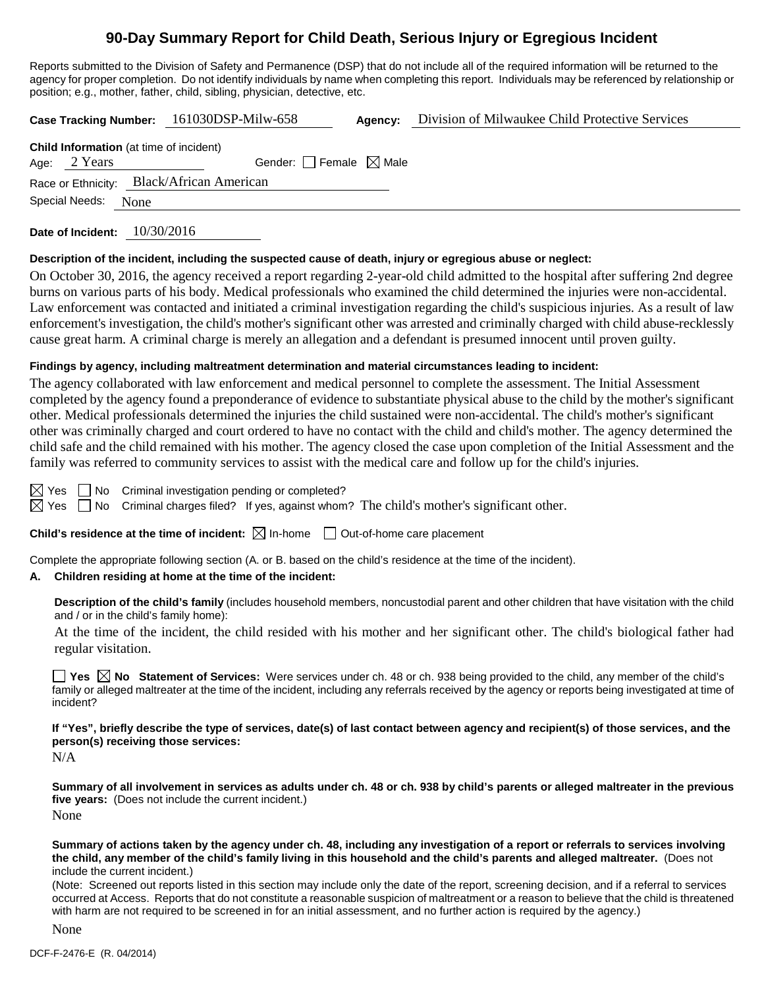## **90-Day Summary Report for Child Death, Serious Injury or Egregious Incident**

Reports submitted to the Division of Safety and Permanence (DSP) that do not include all of the required information will be returned to the agency for proper completion. Do not identify individuals by name when completing this report. Individuals may be referenced by relationship or position; e.g., mother, father, child, sibling, physician, detective, etc.

**Case Tracking Number:** 161030DSP-Milw-658 **Agency:** Division of Milwaukee Child Protective Services **Child Information** (at time of incident) Age:  $2$  Years Gender: Female  $\boxtimes$  Male

Race or Ethnicity: Black/African American

Special Needs: None

**Date of Incident:** 10/30/2016

#### **Description of the incident, including the suspected cause of death, injury or egregious abuse or neglect:**

On October 30, 2016, the agency received a report regarding 2-year-old child admitted to the hospital after suffering 2nd degree burns on various parts of his body. Medical professionals who examined the child determined the injuries were non-accidental. Law enforcement was contacted and initiated a criminal investigation regarding the child's suspicious injuries. As a result of law enforcement's investigation, the child's mother's significant other was arrested and criminally charged with child abuse-recklessly cause great harm. A criminal charge is merely an allegation and a defendant is presumed innocent until proven guilty.

#### **Findings by agency, including maltreatment determination and material circumstances leading to incident:**

The agency collaborated with law enforcement and medical personnel to complete the assessment. The Initial Assessment completed by the agency found a preponderance of evidence to substantiate physical abuse to the child by the mother's significant other. Medical professionals determined the injuries the child sustained were non-accidental. The child's mother's significant other was criminally charged and court ordered to have no contact with the child and child's mother. The agency determined the child safe and the child remained with his mother. The agency closed the case upon completion of the Initial Assessment and the family was referred to community services to assist with the medical care and follow up for the child's injuries.

 $\boxtimes$  Yes  $\Box$  No Criminal investigation pending or completed?

 $\boxtimes$  Yes  $\Box$  No Criminal charges filed? If yes, against whom? The child's mother's significant other.

#### **Child's residence at the time of incident:**  $\boxtimes$  In-home  $\Box$  Out-of-home care placement

Complete the appropriate following section (A. or B. based on the child's residence at the time of the incident).

#### **A. Children residing at home at the time of the incident:**

**Description of the child's family** (includes household members, noncustodial parent and other children that have visitation with the child and / or in the child's family home):

At the time of the incident, the child resided with his mother and her significant other. The child's biological father had regular visitation.

**Yes**  $\boxtimes$  **No** Statement of Services: Were services under ch. 48 or ch. 938 being provided to the child, any member of the child's family or alleged maltreater at the time of the incident, including any referrals received by the agency or reports being investigated at time of incident?

**If "Yes", briefly describe the type of services, date(s) of last contact between agency and recipient(s) of those services, and the person(s) receiving those services:**

N/A

**Summary of all involvement in services as adults under ch. 48 or ch. 938 by child's parents or alleged maltreater in the previous five years:** (Does not include the current incident.) None

**Summary of actions taken by the agency under ch. 48, including any investigation of a report or referrals to services involving the child, any member of the child's family living in this household and the child's parents and alleged maltreater.** (Does not include the current incident.)

(Note: Screened out reports listed in this section may include only the date of the report, screening decision, and if a referral to services occurred at Access. Reports that do not constitute a reasonable suspicion of maltreatment or a reason to believe that the child is threatened with harm are not required to be screened in for an initial assessment, and no further action is required by the agency.)

None